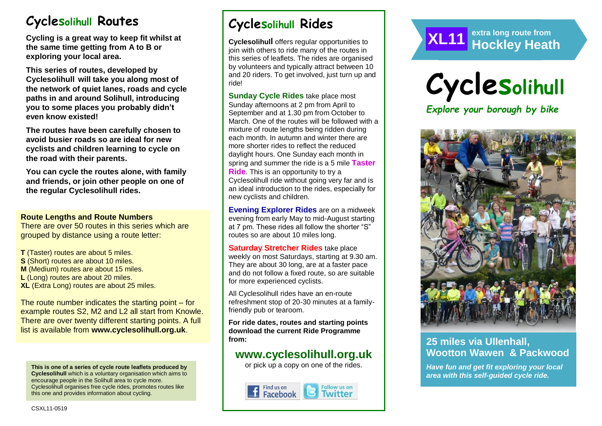# **Cyclesolihull Routes**

**Cycling is a great way to keep fit whilst at the same time getting from A to B or exploring your local area.** 

**This series of routes, developed by Cyclesolihull will take you along most of the network of quiet lanes, roads and cycle paths in and around Solihull, introducing you to some places you probably didn't even know existed!**

**The routes have been carefully chosen to avoid busier roads so are ideal for new cyclists and children learning to cycle on the road with their parents.** 

**You can cycle the routes alone, with family and friends, or join other people on one of the regular Cyclesolihull rides.**

#### **Route Lengths and Route Numbers**

There are over 50 routes in this series which are grouped by distance using a route letter:

**T** (Taster) routes are about 5 miles. **S** (Short) routes are about 10 miles. **M** (Medium) routes are about 15 miles. **L** (Long) routes are about 20 miles. **XL** (Extra Long) routes are about 25 miles.

The route number indicates the starting point – for example routes S2, M2 and L2 all start from Knowle. There are over twenty different starting points. A full list is available from **www.cyclesolihull.org.uk**.

**This is one of a series of cycle route leaflets produced by Cyclesolihull** which is a voluntary organisation which aims to encourage people in the Solihull area to cycle more. Cyclesolihull organises free cycle rides, promotes routes like this one and provides information about cycling.

# **Cyclesolihull Rides**

**Cyclesolihull** offers regular opportunities to join with others to ride many of the routes in this series of leaflets. The rides are organised by volunteers and typically attract between 10 and 20 riders. To get involved, just turn up and ride!

**Sunday Cycle Rides** take place most Sunday afternoons at 2 pm from April to September and at 1.30 pm from October to March. One of the routes will be followed with a mixture of route lengths being ridden during each month. In autumn and winter there are more shorter rides to reflect the reduced daylight hours. One Sunday each month in spring and summer the ride is a 5 mile **Taster Ride**. This is an opportunity to try a Cyclesolihull ride without going very far and is an ideal introduction to the rides, especially for new cyclists and children.

**Evening Explorer Rides** are on a midweek evening from early May to mid-August starting at 7 pm. These rides all follow the shorter "S" routes so are about 10 miles long.

**Saturday Stretcher Rides** take place weekly on most Saturdays, starting at 9.30 am. They are about 30 long, are at a faster pace and do not follow a fixed route, so are suitable for more experienced cyclists.

All Cyclesolihull rides have an en-route refreshment stop of 20-30 minutes at a familyfriendly pub or tearoom.

**For ride dates, routes and starting points download the current Ride Programme from:** 

## **www.cyclesolihull.org.uk**

or pick up a copy on one of the rides.







*Explore your borough by bike*



## **25 miles via Ullenhall, Wootton Wawen & Packwood**

*Have fun and get fit exploring your local area with this self-guided cycle ride.*